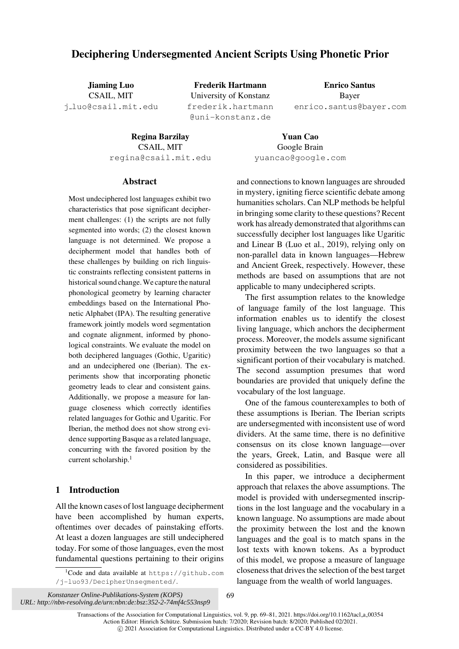# Deciphering Undersegmented Ancient Scripts Using Phonetic Prior

Jiaming Luo CSAIL, MIT j [luo@csail.mit.edu](mailto:j_luo@csail.mit.edu)

Frederik Hartmann University of Konstanz [frederik.hartmann](mailto:frederik.hartmann@uni-konstanz.de) [@uni-konstanz.de](mailto:frederik.hartmann@uni-konstanz.de)

Enrico Santus Bayer [enrico.santus@bayer.com](mailto:enrico.santus@bayer.com)

Regina Barzilay CSAIL, MIT [regina@csail.mit.edu](mailto:regina@csail.mit.edu)

Yuan Cao Google Brain [yuancao@google.com](mailto:yuancao@google.com)

### Abstract

Most undeciphered lost languages exhibit two characteristics that pose significant decipherment challenges: (1) the scripts are not fully segmented into words; (2) the closest known language is not determined. We propose a decipherment model that handles both of these challenges by building on rich linguistic constraints reflecting consistent patterns in historical sound change. We capture the natural phonological geometry by learning character embeddings based on the International Phonetic Alphabet (IPA). The resulting generative framework jointly models word segmentation and cognate alignment, informed by phonological constraints. We evaluate the model on both deciphered languages (Gothic, Ugaritic) and an undeciphered one (Iberian). The experiments show that incorporating phonetic geometry leads to clear and consistent gains. Additionally, we propose a measure for language closeness which correctly identifies related languages for Gothic and Ugaritic. For Iberian, the method does not show strong evidence supporting Basque as a related language, concurring with the favored position by the current scholarship.<sup>1</sup>

# 1 Introduction

All the known cases of lost language decipherment have been accomplished by human experts, oftentimes over decades of painstaking efforts. At least a dozen languages are still undeciphered today. For some of those languages, even the most fundamental questions pertaining to their origins

<span id="page-0-0"></span><sup>1</sup>Code and data available at [https://github.com](https://github.com/j-luo93/DecipherUnsegmented/) [/j-luo93/DecipherUnsegmented/](https://github.com/j-luo93/DecipherUnsegmented/).

and connections to known languages are shrouded in mystery, igniting fierce scientific debate among humanities scholars. Can NLP methods be helpful in bringing some clarity to these questions? Recent work has already demonstrated that algorithms can successfully decipher lost languages like Ugaritic and Linear B [\(Luo et al., 2019](#page-11-0)), relying only on non-parallel data in known languages—Hebrew and Ancient Greek, respectively. However, these methods are based on assumptions that are not applicable to many undeciphered scripts.

The first assumption relates to the knowledge of language family of the lost language. This information enables us to identify the closest living language, which anchors the decipherment process. Moreover, the models assume significant proximity between the two languages so that a significant portion of their vocabulary is matched. The second assumption presumes that word boundaries are provided that uniquely define the vocabulary of the lost language.

One of the famous counterexamples to both of these assumptions is Iberian. The Iberian scripts are undersegmented with inconsistent use of word dividers. At the same time, there is no definitive consensus on its close known language—over the years, Greek, Latin, and Basque were all considered as possibilities.

In this paper, we introduce a decipherment approach that relaxes the above assumptions. The model is provided with undersegmented inscriptions in the lost language and the vocabulary in a known language. No assumptions are made about the proximity between the lost and the known languages and the goal is to match spans in the lost texts with known tokens. As a byproduct of this model, we propose a measure of language closeness that drives the selection of the best target language from the wealth of world languages.

*Konstanzer Online-Publikations-System (KOPS) URL: http://nbn-resolving.de/urn:nbn:de:bsz:352-2-74mf4c553nsp9* 69

Transactions of the Association for Computational Linguistics, vol. 9, pp. 69–81, 2021. [https://doi.org/10.1162/tacl](https://doi.org/10.1162/tacl_a_00354) a 00354 Action Editor: Hinrich Schütze. Submission batch: 7/2020; Revision batch: 8/2020; Published 02/2021. © 2021 Association for Computational Linguistics. Distributed under a CC-BY 4.0 license.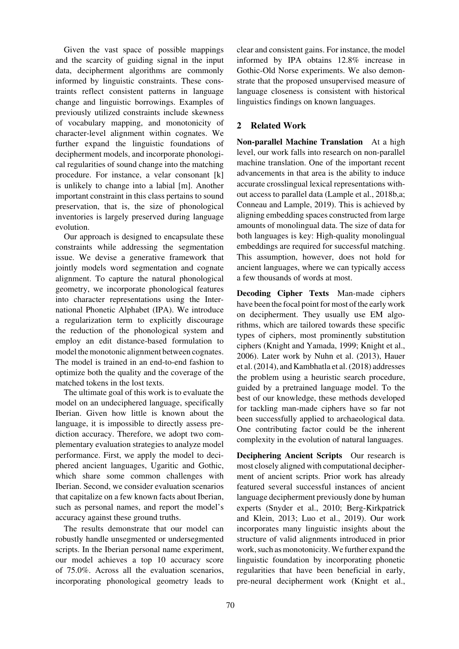Given the vast space of possible mappings and the scarcity of guiding signal in the input data, decipherment algorithms are commonly informed by linguistic constraints. These constraints reflect consistent patterns in language change and linguistic borrowings. Examples of previously utilized constraints include skewness of vocabulary mapping, and monotonicity of character-level alignment within cognates. We further expand the linguistic foundations of decipherment models, and incorporate phonological regularities of sound change into the matching procedure. For instance, a velar consonant [k] is unlikely to change into a labial [m]. Another important constraint in this class pertains to sound preservation, that is, the size of phonological inventories is largely preserved during language evolution.

Our approach is designed to encapsulate these constraints while addressing the segmentation issue. We devise a generative framework that jointly models word segmentation and cognate alignment. To capture the natural phonological geometry, we incorporate phonological features into character representations using the International Phonetic Alphabet (IPA). We introduce a regularization term to explicitly discourage the reduction of the phonological system and employ an edit distance-based formulation to model the monotonic alignment between cognates. The model is trained in an end-to-end fashion to optimize both the quality and the coverage of the matched tokens in the lost texts.

The ultimate goal of this work is to evaluate the model on an undeciphered language, specifically Iberian. Given how little is known about the language, it is impossible to directly assess prediction accuracy. Therefore, we adopt two complementary evaluation strategies to analyze model performance. First, we apply the model to deciphered ancient languages, Ugaritic and Gothic, which share some common challenges with Iberian. Second, we consider evaluation scenarios that capitalize on a few known facts about Iberian, such as personal names, and report the model's accuracy against these ground truths.

The results demonstrate that our model can robustly handle unsegmented or undersegmented scripts. In the Iberian personal name experiment, our model achieves a top 10 accuracy score of 75.0%. Across all the evaluation scenarios, incorporating phonological geometry leads to clear and consistent gains. For instance, the model informed by IPA obtains 12.8% increase in Gothic-Old Norse experiments. We also demonstrate that the proposed unsupervised measure of language closeness is consistent with historical linguistics findings on known languages.

# 2 Related Work

Non-parallel Machine Translation At a high level, our work falls into research on non-parallel machine translation. One of the important recent advancements in that area is the ability to induce accurate crosslingual lexical representations without access to parallel data [\(Lample et al.](#page-11-1), [2018b](#page-11-1)[,a](#page-11-2); [Conneau and Lample](#page-10-0), [2019\)](#page-10-0). This is achieved by aligning embedding spaces constructed from large amounts of monolingual data. The size of data for both languages is key: High-quality monolingual embeddings are required for successful matching. This assumption, however, does not hold for ancient languages, where we can typically access a few thousands of words at most.

Decoding Cipher Texts Man-made ciphers have been the focal point for most of the early work on decipherment. They usually use EM algorithms, which are tailored towards these specific types of ciphers, most prominently substitution ciphers [\(Knight and Yamada](#page-10-1), [1999;](#page-10-1) [Knight et al.,](#page-10-2) [2006](#page-10-2)). Later work by [Nuhn et al.](#page-11-3) [\(2013](#page-11-3)), [Hauer](#page-10-3) [et al.](#page-10-3) [\(2014\)](#page-10-4), and [Kambhatla et al.](#page-10-5) [\(2018](#page-10-5)) addresses the problem using a heuristic search procedure, guided by a pretrained language model. To the best of our knowledge, these methods developed for tackling man-made ciphers have so far not been successfully applied to archaeological data. One contributing factor could be the inherent complexity in the evolution of natural languages.

Deciphering Ancient Scripts Our research is most closely aligned with computational decipherment of ancient scripts. Prior work has already featured several successful instances of ancient language decipherment previously done by human experts [\(Snyder et al.](#page-11-4)[,](#page-10-6) [2010](#page-11-4)[;](#page-10-6) Berg-Kirkpatrick and Klein, [2013](#page-10-6); [Luo et al., 2019\)](#page-11-0). Our work incorporates many linguistic insights about the structure of valid alignments introduced in prior work, such as monotonicity. We further expand the linguistic foundation by incorporating phonetic regularities that have been beneficial in early, pre-neural decipherment work [\(Knight et al.,](#page-10-2)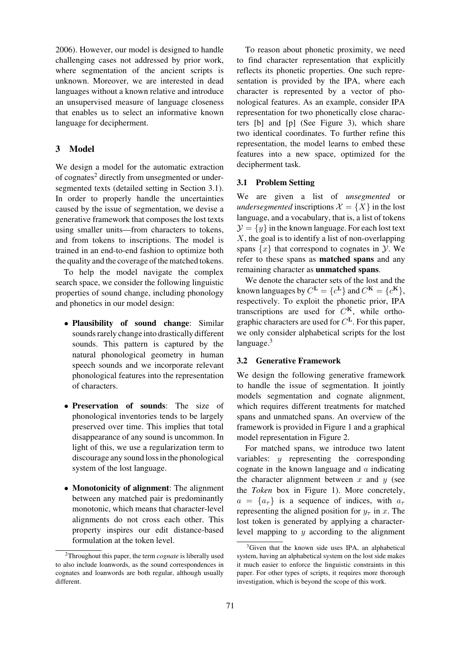[2006](#page-10-2)). However, our model is designed to handle challenging cases not addressed by prior work, where segmentation of the ancient scripts is unknown. Moreover, we are interested in dead languages without a known relative and introduce an unsupervised measure of language closeness that enables us to select an informative known language for decipherment.

# 3 Model

We design a model for the automatic extraction of cognates<sup>2</sup> directly from unsegmented or undersegmented texts (detailed setting in Section [3.1\)](#page-2-1). In order to properly handle the uncertainties caused by the issue of segmentation, we devise a generative framework that composes the lost texts using smaller units—from characters to tokens, and from tokens to inscriptions. The model is trained in an end-to-end fashion to optimize both the quality and the coverage of the matched tokens.

To help the model navigate the complex search space, we consider the following linguistic properties of sound change, including phonology and phonetics in our model design:

- Plausibility of sound change: Similar sounds rarely change into drastically different sounds. This pattern is captured by the natural phonological geometry in human speech sounds and we incorporate relevant phonological features into the representation of characters.
- Preservation of sounds: The size of phonological inventories tends to be largely preserved over time. This implies that total disappearance of any sound is uncommon. In light of this, we use a regularization term to discourage any sound loss in the phonological system of the lost language.
- Monotonicity of alignment: The alignment between any matched pair is predominantly monotonic, which means that character-level alignments do not cross each other. This property inspires our edit distance-based formulation at the token level.

To reason about phonetic proximity, we need to find character representation that explicitly reflects its phonetic properties. One such representation is provided by the IPA, where each character is represented by a vector of phonological features. As an example, consider IPA representation for two phonetically close characters [b] and [p] (See [Figure 3\)](#page-4-0), which share two identical coordinates. To further refine this representation, the model learns to embed these features into a new space, optimized for the decipherment task.

### <span id="page-2-1"></span>3.1 Problem Setting

We are given a list of *unsegmented* or *undersegmented* inscriptions  $\mathcal{X} = \{X\}$  in the lost language, and a vocabulary, that is, a list of tokens  $\mathcal{Y} = \{y\}$  in the known language. For each lost text  $X$ , the goal is to identify a list of non-overlapping spans  $\{x\}$  that correspond to cognates in  $\mathcal Y$ . We refer to these spans as matched spans and any remaining character as unmatched spans.

We denote the character sets of the lost and the known languages by  $C^{\mathbf{L}} = \{c^{\mathbf{L}}\}\$ and  $C^{\mathbf{K}} = \{c^{\mathbf{K}}\},\$ respectively. To exploit the phonetic prior, IPA transcriptions are used for C**K**, while orthographic characters are used for C**L**. For this paper, we only consider alphabetical scripts for the lost language. $3$ 

#### 3.2 Generative Framework

We design the following generative framework to handle the issue of segmentation. It jointly models segmentation and cognate alignment, which requires different treatments for matched spans and unmatched spans. An overview of the framework is provided in [Figure 1](#page-3-0) and a graphical model representation in [Figure 2.](#page-3-1)

For matched spans, we introduce two latent variables: y representing the corresponding cognate in the known language and  $\alpha$  indicating the character alignment between  $x$  and  $y$  (see the *Token* box in [Figure 1\)](#page-3-0). More concretely,  $a = \{a_{\tau}\}\$ is a sequence of indices, with  $a_{\tau}$ representing the aligned position for  $y_\tau$  in x. The lost token is generated by applying a characterlevel mapping to  $y$  according to the alignment

<span id="page-2-0"></span><sup>2</sup>Throughout this paper, the term *cognate* is liberally used to also include loanwords, as the sound correspondences in cognates and loanwords are both regular, although usually different.

<span id="page-2-2"></span><sup>3</sup>Given that the known side uses IPA, an alphabetical system, having an alphabetical system on the lost side makes it much easier to enforce the linguistic constraints in this paper. For other types of scripts, it requires more thorough investigation, which is beyond the scope of this work.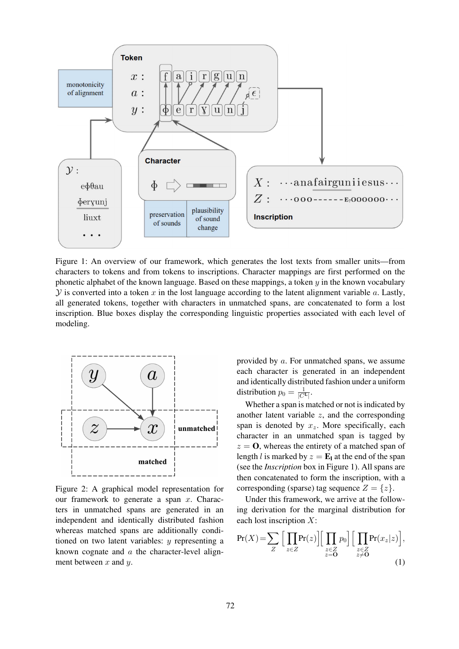<span id="page-3-0"></span>

Figure 1: An overview of our framework, which generates the lost texts from smaller units—from characters to tokens and from tokens to inscriptions. Character mappings are first performed on the phonetic alphabet of the known language. Based on these mappings, a token  $y$  in the known vocabulary  $\mathcal Y$  is converted into a token x in the lost language according to the latent alignment variable a. Lastly, all generated tokens, together with characters in unmatched spans, are concatenated to form a lost inscription. Blue boxes display the corresponding linguistic properties associated with each level of modeling.

<span id="page-3-1"></span>

Figure 2: A graphical model representation for our framework to generate a span  $x$ . Characters in unmatched spans are generated in an independent and identically distributed fashion whereas matched spans are additionally conditioned on two latent variables:  $y$  representing a known cognate and a the character-level alignment between  $x$  and  $y$ .

provided by a. For unmatched spans, we assume each character is generated in an independent and identically distributed fashion under a uniform distribution  $p_0 = \frac{1}{|C^{\mathbf{L}}|}$ .

Whether a span is matched or not is indicated by another latent variable  $z$ , and the corresponding span is denoted by  $x_z$ . More specifically, each character in an unmatched span is tagged by  $z = 0$ , whereas the entirety of a matched span of length *l* is marked by  $z = \mathbf{E}_l$  at the end of the span (see the *Inscription* box in [Figure 1\)](#page-3-0). All spans are then concatenated to form the inscription, with a corresponding (sparse) tag sequence  $Z = \{z\}.$ 

Under this framework, we arrive at the following derivation for the marginal distribution for each lost inscription X:

$$
\Pr(X) = \sum_{Z} \Big[ \prod_{z \in Z} \Pr(z) \Big] \Big[ \prod_{\substack{z \in Z \\ z = 0}} p_0 \Big] \Big[ \prod_{\substack{z \in Z \\ z \neq 0}} \Pr(x_z | z) \Big],\tag{1}
$$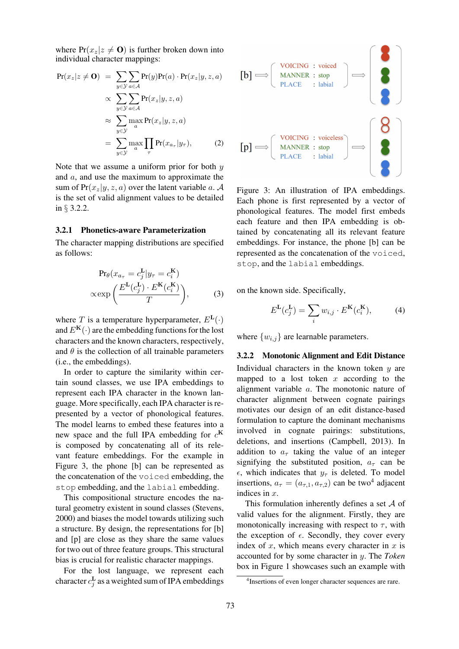where  $Pr(x_z|z \neq 0)$  is further broken down into individual character mappings:

<span id="page-4-3"></span>
$$
Pr(x_z|z \neq \mathbf{O}) = \sum_{y \in \mathcal{Y}} \sum_{a \in \mathcal{A}} Pr(y)Pr(a) \cdot Pr(x_z|y, z, a)
$$
  
 
$$
\propto \sum_{y \in \mathcal{Y}} \sum_{a \in \mathcal{A}} Pr(x_z|y, z, a)
$$
  
 
$$
\approx \sum_{y \in \mathcal{Y}} \max_{a} Pr(x_z|y, z, a)
$$
  
 
$$
= \sum_{y \in \mathcal{Y}} \max_{a} \prod_{\tau} Pr(x_{a_{\tau}}|y_{\tau}), \qquad (2)
$$

Note that we assume a uniform prior for both  $y$ and a, and use the maximum to approximate the sum of  $Pr(x_z|y, z, a)$  over the latent variable a. A is the set of valid alignment values to be detailed in § [3.2.2.](#page-4-1)

#### <span id="page-4-4"></span>3.2.1 Phonetics-aware Parameterization

The character mapping distributions are specified as follows:

$$
\Pr_{\theta}(x_{a_{\tau}} = c_j^{\mathbf{L}} | y_{\tau} = c_i^{\mathbf{K}})
$$

$$
\propto \exp\left(\frac{E^{\mathbf{L}}(c_j^{\mathbf{L}}) \cdot E^{\mathbf{K}}(c_i^{\mathbf{K}})}{T}\right),\tag{3}
$$

where T is a temperature hyperparameter,  $E<sup>L</sup>(.)$ and  $E^{**K**(\cdot)$  are the embedding functions for the lost characters and the known characters, respectively, and  $\theta$  is the collection of all trainable parameters (i.e., the embeddings).

In order to capture the similarity within certain sound classes, we use IPA embeddings to represent each IPA character in the known language. More specifically, each IPA character is represented by a vector of phonological features. The model learns to embed these features into a new space and the full IPA embedding for  $c^{K}$ is composed by concatenating all of its relevant feature embeddings. For the example in [Figure 3,](#page-4-0) the phone [b] can be represented as the concatenation of the voiced embedding, the stop embedding, and the labial embedding.

This compositional structure encodes the natural geometry existent in sound classes [\(Stevens,](#page-11-5) [2000](#page-11-5)) and biases the model towards utilizing such a structure. By design, the representations for [b] and [p] are close as they share the same values for two out of three feature groups. This structural bias is crucial for realistic character mappings.

For the lost language, we represent each character  $c_j^{\mathbf{L}}$  as a weighted sum of IPA embeddings

<span id="page-4-0"></span>

Figure 3: An illustration of IPA embeddings. Each phone is first represented by a vector of phonological features. The model first embeds each feature and then IPA embedding is obtained by concatenating all its relevant feature embeddings. For instance, the phone [b] can be represented as the concatenation of the voiced, stop, and the labial embeddings.

on the known side. Specifically,

$$
E^{\mathbf{L}}(c_j^{\mathbf{L}}) = \sum_i w_{i,j} \cdot E^{\mathbf{K}}(c_i^{\mathbf{K}}), \tag{4}
$$

where  $\{w_{i,j}\}\$ are learnable parameters.

#### <span id="page-4-1"></span>3.2.2 Monotonic Alignment and Edit Distance

Individual characters in the known token  $y$  are mapped to a lost token  $x$  according to the alignment variable a. The monotonic nature of character alignment between cognate pairings motivates our design of an edit distance-based formulation to capture the dominant mechanisms involved in cognate pairings: substitutions, deletions, and insertions [\(Campbell](#page-10-7), [2013\)](#page-10-7). In addition to  $a_{\tau}$  taking the value of an integer signifying the substituted position,  $a_{\tau}$  can be  $\epsilon$ , which indicates that  $y_\tau$  is deleted. To model insertions,  $a_{\tau} = (a_{\tau,1}, a_{\tau,2})$  can be two<sup>4</sup> adjacent indices in x.

This formulation inherently defines a set  $A$  of valid values for the alignment. Firstly, they are monotonically increasing with respect to  $\tau$ , with the exception of  $\epsilon$ . Secondly, they cover every index of  $x$ , which means every character in  $x$  is accounted for by some character in y. The *Token* box in [Figure 1](#page-3-0) showcases such an example with

<span id="page-4-2"></span><sup>4</sup>Insertions of even longer character sequences are rare.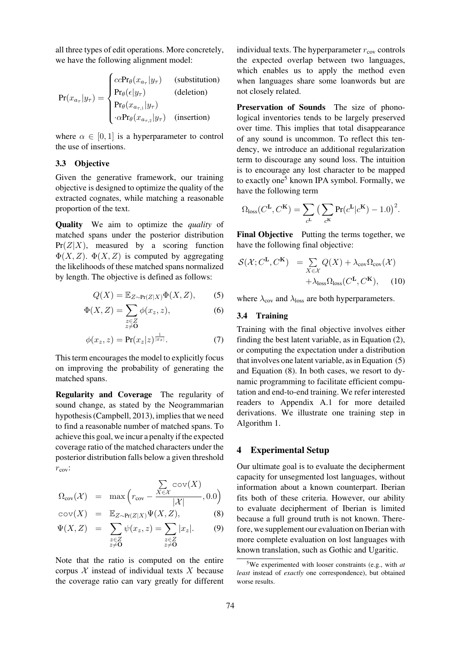all three types of edit operations. More concretely, we have the following alignment model:

<span id="page-5-1"></span>
$$
Pr(x_{a_{\tau}}|y_{\tau}) = \begin{cases} ccPr_{\theta}(x_{a_{\tau}}|y_{\tau}) & \text{(substitution)}\\ Pr_{\theta}(\epsilon|y_{\tau}) & \text{(deletion)}\\ Pr_{\theta}(x_{a_{\tau,1}}|y_{\tau}) & \text{(insertion)}\\ \cdot \alpha Pr_{\theta}(x_{a_{\tau,2}}|y_{\tau}) & \text{(insertion)} \end{cases}
$$

where  $\alpha \in [0, 1]$  is a hyperparameter to control the use of insertions.

#### <span id="page-5-3"></span>3.3 Objective

Given the generative framework, our training objective is designed to optimize the quality of the extracted cognates, while matching a reasonable proportion of the text.

Quality We aim to optimize the *quality* of matched spans under the posterior distribution  $Pr(Z|X)$ , measured by a scoring function  $\Phi(X, Z)$ .  $\Phi(X, Z)$  is computed by aggregating the likelihoods of these matched spans normalized by length. The objective is defined as follows:

$$
Q(X) = \mathbb{E}_{Z \sim \Pr(Z|X)} \Phi(X, Z), \tag{5}
$$

$$
\Phi(X, Z) = \sum_{\substack{z \in Z \\ z \neq \mathbf{0}}} \phi(x_z, z),\tag{6}
$$

$$
\phi(x_z, z) = \Pr(x_z|z)^{\frac{1}{|x_z|}}.\tag{7}
$$

This term encourages the model to explicitly focus on improving the probability of generating the matched spans.

Regularity and Coverage The regularity of sound change, as stated by the Neogrammarian hypothesis [\(Campbell](#page-10-7), [2013\)](#page-10-7), implies that we need to find a reasonable number of matched spans. To achieve this goal, we incur a penalty if the expected coverage ratio of the matched characters under the posterior distribution falls below a given threshold  $r_{\text{cov}}$ :

<span id="page-5-2"></span>
$$
\Omega_{\text{cov}}(\mathcal{X}) = \max\left(r_{\text{cov}} - \frac{\sum\limits_{X \in \mathcal{X}} \text{cov}(X)}{|\mathcal{X}|}, 0.0\right)
$$

$$
\text{cov}(X) = \mathbb{E}_{Z \sim \Pr(Z|X)} \Psi(X, Z), \tag{8}
$$

$$
\Psi(X, Z) = \sum_{\substack{z \in Z \\ z \neq \mathbf{0}}} \psi(x_z, z) = \sum_{\substack{z \in Z \\ z \neq \mathbf{0}}} |x_z|. \tag{9}
$$

Note that the ratio is computed on the entire corpus  $X$  instead of individual texts  $X$  because the coverage ratio can vary greatly for different

individual texts. The hyperparameter  $r_{\text{cov}}$  controls the expected overlap between two languages, which enables us to apply the method even when languages share some loanwords but are not closely related.

Preservation of Sounds The size of phonological inventories tends to be largely preserved over time. This implies that total disappearance of any sound is uncommon. To reflect this tendency, we introduce an additional regularization term to discourage any sound loss. The intuition is to encourage any lost character to be mapped to exactly one<sup>5</sup> known IPA symbol. Formally, we have the following term

$$
\Omega_{\text{loss}}(C^{\mathbf{L}}, C^{\mathbf{K}}) = \sum_{c^{\mathbf{L}}} \left( \sum_{c^{\mathbf{K}}} \text{Pr}(c^{\mathbf{L}} | c^{\mathbf{K}}) - 1.0 \right)^2.
$$

Final Objective Putting the terms together, we have the following final objective:

$$
\mathcal{S}(\mathcal{X}; C^{\mathbf{L}}, C^{\mathbf{K}}) = \sum_{X \in \mathcal{X}} Q(X) + \lambda_{\text{cov}} \Omega_{\text{cov}}(\mathcal{X}) + \lambda_{\text{loss}} \Omega_{\text{loss}}(C^{\mathbf{L}}, C^{\mathbf{K}}), \quad (10)
$$

where  $\lambda_{\text{cov}}$  and  $\lambda_{\text{loss}}$  are both hyperparameters.

# 3.4 Training

Training with the final objective involves either finding the best latent variable, as in Equation [\(2\)](#page-4-3), or computing the expectation under a distribution that involves one latent variable, as in Equation [\(5\)](#page-5-1) and Equation [\(8\)](#page-5-2). In both cases, we resort to dynamic programming to facilitate efficient computation and end-to-end training. We refer interested readers to Appendix [A.1](#page-11-6) for more detailed derivations. We illustrate one training step in Algorithm [1.](#page-6-0)

# 4 Experimental Setup

Our ultimate goal is to evaluate the decipherment capacity for unsegmented lost languages, without information about a known counterpart. Iberian fits both of these criteria. However, our ability to evaluate decipherment of Iberian is limited because a full ground truth is not known. Therefore, we supplement our evaluation on Iberian with more complete evaluation on lost languages with known translation, such as Gothic and Ugaritic.

<span id="page-5-0"></span><sup>5</sup>We experimented with looser constraints (e.g., with *at least* instead of *exactly* one correspondence), but obtained worse results.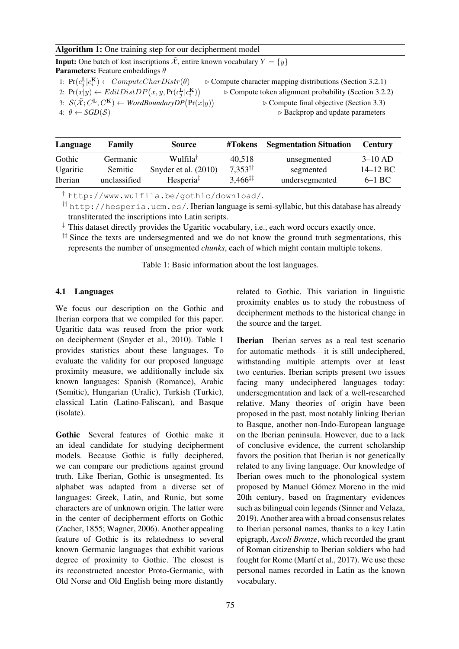### <span id="page-6-0"></span>Algorithm 1: One training step for our decipherment model

**Input:** One batch of lost inscriptions  $\tilde{\mathcal{X}}$ , entire known vocabulary  $Y = \{y\}$ **Parameters:** Feature embeddings  $\theta$ 

- 1:  $\Pr(c_j^{\mathbf{L}}|c_i^{\mathbf{K}})$  $\triangleright$  Compute character mapping distributions (Section [3.2.1\)](#page-4-4)
- 2:  $\Pr(x|y) \leftarrow \text{EditDistDP}(x, y, \Pr(c_j^{\text{L}} | c_i^{\text{K}}))$

 $\triangleright$  Compute token alignment probability (Section [3.2.2\)](#page-4-1)  $\triangleright$  Compute final objective (Section [3.3\)](#page-5-3)

<span id="page-6-1"></span><sup>4:</sup>  $θ$  ← *SGD*(*S*) Backprop and update parameters

| Language       | <b>Family</b> | <b>Source</b>                             | #Tokens                    | <b>Segmentation Situation</b> | <b>Century</b> |
|----------------|---------------|-------------------------------------------|----------------------------|-------------------------------|----------------|
| Gothic         | Germanic      | Wulfila <sup>†</sup>                      | 40,518                     | unsegmented                   | $3-10$ AD      |
| Ugaritic       | Semitic       | Snyder et al. $(2010)$                    | $7.353^{\dagger\dagger}$   | segmented                     | $14-12$ BC     |
| <b>Iberian</b> | unclassified  | Hesperia <sup><math>\ddagger</math></sup> | $3,466^{\ddagger\ddagger}$ | undersegmented                | $6-1$ BC       |

† <http://www.wulfila.be/gothic/download/>.

†† <http://hesperia.ucm.es/>. Iberian language is semi-syllabic, but this database has already transliterated the inscriptions into Latin scripts.

 $\ddot{\text{ } }$  This dataset directly provides the Ugaritic vocabulary, i.e., each word occurs exactly once.

 $\ddagger$  Since the texts are undersegmented and we do not know the ground truth segmentations, this represents the number of unsegmented *chunks*, each of which might contain multiple tokens.

Table 1: Basic information about the lost languages.

#### 4.1 Languages

We focus our description on the Gothic and Iberian corpora that we compiled for this paper. Ugaritic data was reused from the prior work on decipherment [\(Snyder et al., 2010](#page-11-4)). [Table 1](#page-6-1) provides statistics about these languages. To evaluate the validity for our proposed language proximity measure, we additionally include six known languages: Spanish (Romance), Arabic (Semitic), Hungarian (Uralic), Turkish (Turkic), classical Latin (Latino-Faliscan), and Basque (isolate).

Gothic Several features of Gothic make it an ideal candidate for studying decipherment models. Because Gothic is fully deciphered, we can compare our predictions against ground truth. Like Iberian, Gothic is unsegmented. Its alphabet was adapted from a diverse set of languages: Greek, Latin, and Runic, but some characters are of unknown origin. The latter were in the center of decipherment efforts on Gothic [\(Zacher](#page-11-8), [1855](#page-11-8); [Wagner](#page-11-9), [2006](#page-11-9)). Another appealing feature of Gothic is its relatedness to several known Germanic languages that exhibit various degree of proximity to Gothic. The closest is its reconstructed ancestor Proto-Germanic, with Old Norse and Old English being more distantly related to Gothic. This variation in linguistic proximity enables us to study the robustness of decipherment methods to the historical change in the source and the target.

Iberian Iberian serves as a real test scenario for automatic methods—it is still undeciphered, withstanding multiple attempts over at least two centuries. Iberian scripts present two issues facing many undeciphered languages today: undersegmentation and lack of a well-researched relative. Many theories of origin have been proposed in the past, most notably linking Iberian to Basque, another non-Indo-European language on the Iberian peninsula. However, due to a lack of conclusive evidence, the current scholarship favors the position that Iberian is not genetically related to any living language. Our knowledge of Iberian owes much to the phonological system proposed by Manuel Gómez Moreno in the mid 20th century, based on fragmentary evidences such as bilingual coin legends [\(Sinner and Velaza,](#page-11-10) [2019](#page-11-10)). Another area with a broad consensus relates to Iberian personal names, thanks to a key Latin epigraph, *Ascoli Bronze*, which recorded the grant of Roman citizenship to Iberian soldiers who had fought for Rome (Martí et al., 2017). We use these personal names recorded in Latin as the known vocabulary.

<sup>3:</sup>  $\mathcal{S}(\tilde{\mathcal{X}}; C^{\mathbf{L}}, C^{\mathbf{K}}) \leftarrow \text{WordBoundaryDP}(\Pr(x|y))$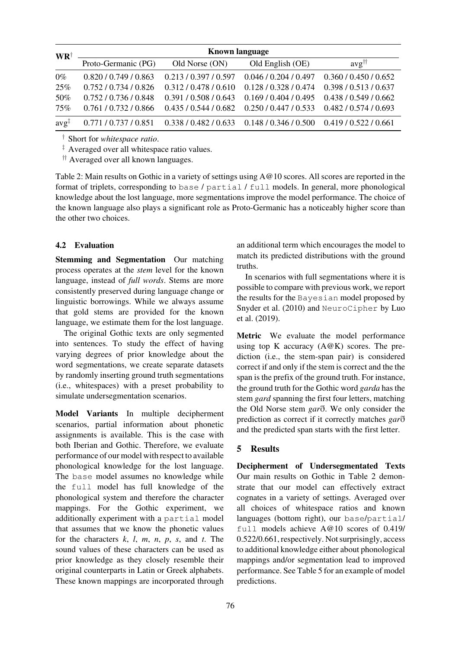<span id="page-7-0"></span>

| $\mathbf{W}\mathbf{R}^{\dagger}$ | <b>Known language</b> |                                                                         |                   |                                  |  |
|----------------------------------|-----------------------|-------------------------------------------------------------------------|-------------------|----------------------------------|--|
|                                  | Proto-Germanic (PG)   | Old Norse (ON)                                                          | Old English (OE)  | $\alpha$ <sub>vg</sub> $\dagger$ |  |
| $0\%$                            | 0.820 / 0.749 / 0.863 | 0.213/0.397/0.597                                                       | 0.046/0.204/0.497 | 0.360 / 0.450 / 0.652            |  |
| 25%                              | 0.752/0.734/0.826     | 0.312/0.478/0.610                                                       | 0.128/0.328/0.474 | 0.398 / 0.513 / 0.637            |  |
| 50%                              | 0.752/0.736/0.848     | 0.391/0.508/0.643                                                       | 0.169/0.404/0.495 | 0.438/0.549/0.662                |  |
| 75%                              | 0.761/0.732/0.866     | 0.435/0.544/0.682                                                       | 0.250/0.447/0.533 | 0.482 / 0.574 / 0.693            |  |
| $\alpha v \alpha^{\dagger}$      |                       | $0.771 / 0.737 / 0.851$ $0.338 / 0.482 / 0.633$ $0.148 / 0.346 / 0.500$ |                   | 0.419/0.522/0.661                |  |

† Short for *whitespace ratio*.

‡ Averaged over all whitespace ratio values.

†† Averaged over all known languages.

Table 2: Main results on Gothic in a variety of settings using A@10 scores. All scores are reported in the format of triplets, corresponding to base / partial / full models. In general, more phonological knowledge about the lost language, more segmentations improve the model performance. The choice of the known language also plays a significant role as Proto-Germanic has a noticeably higher score than the other two choices.

#### 4.2 Evaluation

Stemming and Segmentation Our matching process operates at the *stem* level for the known language, instead of *full words*. Stems are more consistently preserved during language change or linguistic borrowings. While we always assume that gold stems are provided for the known language, we estimate them for the lost language.

The original Gothic texts are only segmented into sentences. To study the effect of having varying degrees of prior knowledge about the word segmentations, we create separate datasets by randomly inserting ground truth segmentations (i.e., whitespaces) with a preset probability to simulate undersegmentation scenarios.

Model Variants In multiple decipherment scenarios, partial information about phonetic assignments is available. This is the case with both Iberian and Gothic. Therefore, we evaluate performance of our model with respect to available phonological knowledge for the lost language. The base model assumes no knowledge while the full model has full knowledge of the phonological system and therefore the character mappings. For the Gothic experiment, we additionally experiment with a partial model that assumes that we know the phonetic values for the characters *k*, *l*, *m*, *n*, *p*, *s*, and *t*. The sound values of these characters can be used as prior knowledge as they closely resemble their original counterparts in Latin or Greek alphabets. These known mappings are incorporated through an additional term which encourages the model to match its predicted distributions with the ground truths.

In scenarios with full segmentations where it is possible to compare with previous work, we report the results for the Bayesian model proposed by [Snyder et al.](#page-11-4)[\(2010](#page-11-4)[\) and](#page-11-0) NeuroCipher by Luo et al. [\(2019](#page-11-0)).

Metric We evaluate the model performance using top K accuracy  $(A@K)$  scores. The prediction (i.e., the stem-span pair) is considered correct if and only if the stem is correct and the the span is the prefix of the ground truth. For instance, the ground truth for the Gothic word *garda* has the stem *gard* spanning the first four letters, matching the Old Norse stem *gar*ð. We only consider the prediction as correct if it correctly matches *gar*ð and the predicted span starts with the first letter.

## 5 Results

Decipherment of Undersegmentated Texts Our main results on Gothic in [Table 2](#page-7-0) demonstrate that our model can effectively extract cognates in a variety of settings. Averaged over all choices of whitespace ratios and known languages (bottom right), our base/partial/ full models achieve A@10 scores of 0.419/ 0.522/0.661, respectively. Not surprisingly, access to additional knowledge either about phonological mappings and/or segmentation lead to improved performance. See [Table 5](#page-9-0) for an example of model predictions.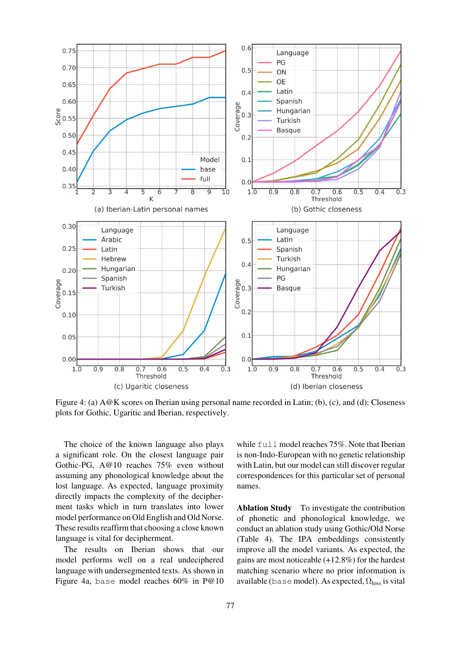<span id="page-8-0"></span>

Figure 4: (a) A@K scores on Iberian using personal name recorded in Latin; (b), (c), and (d): Closeness plots for Gothic, Ugaritic and Iberian, respectively.

The choice of the known language also plays a significant role. On the closest language pair Gothic-PG, A@10 reaches 75% even without assuming any phonological knowledge about the lost language. As expected, language proximity directly impacts the complexity of the decipherment tasks which in turn translates into lower model performance on Old English and Old Norse. These results reaffirm that choosing a close known language is vital for decipherment.

The results on Iberian shows that our model performs well on a real undeciphered language with undersegmented texts. As shown in [Figure 4a,](#page-8-0) base model reaches 60% in P@10

while full model reaches 75%. Note that Iberian is non-Indo-European with no genetic relationship with Latin, but our model can still discover regular correspondences for this particular set of personal names.

Ablation Study To investigate the contribution of phonetic and phonological knowledge, we conduct an ablation study using Gothic/Old Norse [\(Table 4\)](#page-9-1). The IPA embeddings consistently improve all the model variants. As expected, the gains are most noticeable (+12.8%) for the hardest matching scenario where no prior information is available (base model). As expected,  $\Omega_{loss}$  is vital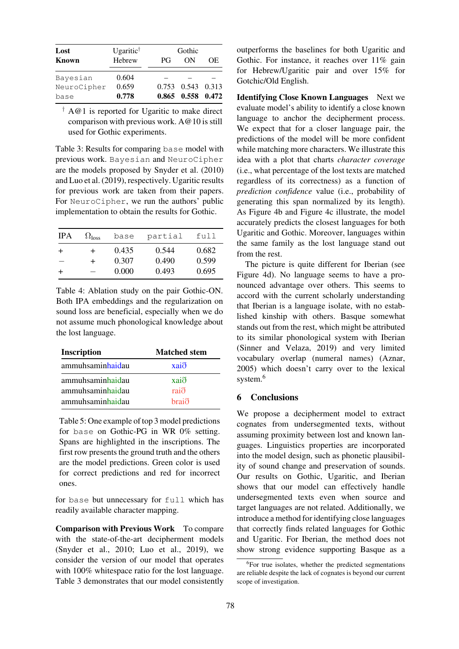<span id="page-9-2"></span>

| Lost<br><b>Known</b> | Ugaritic <sup>†</sup><br>Hebrew | PG | Gothic<br>OΝ      | OE |
|----------------------|---------------------------------|----|-------------------|----|
| Bayesian             | 0.604                           |    |                   |    |
| NeuroCipher          | 0.659                           |    | 0.753 0.543 0.313 |    |
| base                 | 0.778                           |    | 0.865 0.558 0.472 |    |

 $\dagger$  A@1 is reported for Ugaritic to make direct comparison with previous work. A@10 is still used for Gothic experiments.

Table 3: Results for comparing base model with previous work. Bayesian and NeuroCipher are the models proposed by [Snyder et al.](#page-11-4) [\(2010\)](#page-11-4) and [Luo et al.](#page-11-0) [\(2019](#page-11-0)), respectively. Ugaritic results for previous work are taken from their papers. For NeuroCipher, we run the authors' public implementation to obtain the results for Gothic.

<span id="page-9-1"></span>

| <b>IPA</b> | $\Omega_{\text{loss}}$ | base  | partial | full  |
|------------|------------------------|-------|---------|-------|
| +          | +                      | 0.435 | 0.544   | 0.682 |
| --         | $\div$                 | 0.307 | 0.490   | 0.599 |
|            |                        | 0.000 | 0.493   | 0.695 |

Table 4: Ablation study on the pair Gothic-ON. Both IPA embeddings and the regularization on sound loss are beneficial, especially when we do not assume much phonological knowledge about the lost language.

<span id="page-9-0"></span>

| <b>Inscription</b> | <b>Matched stem</b> |
|--------------------|---------------------|
| ammuhsaminhaidau   | $xai\delta$         |
| ammuhsaminhaidau   | $xai\delta$         |
| ammuhsaminhaidau   | raið                |
| ammuhsaminhaidau   | braið               |

Table 5: One example of top 3 model predictions for base on Gothic-PG in WR 0% setting. Spans are highlighted in the inscriptions. The first row presents the ground truth and the others are the model predictions. Green color is used for correct predictions and red for incorrect ones.

for base but unnecessary for full which has readily available character mapping.

Comparison with Previous Work To compare with the state-of-the-art decipherment models [\(Snyder et al., 2010](#page-11-4); [Luo et al.](#page-11-0), [2019\)](#page-11-0), we consider the version of our model that operates with 100% whitespace ratio for the lost language. [Table 3](#page-9-2) demonstrates that our model consistently outperforms the baselines for both Ugaritic and Gothic. For instance, it reaches over 11% gain for Hebrew/Ugaritic pair and over 15% for Gotchic/Old English.

Identifying Close Known Languages Next we evaluate model's ability to identify a close known language to anchor the decipherment process. We expect that for a closer language pair, the predictions of the model will be more confident while matching more characters. We illustrate this idea with a plot that charts *character coverage* (i.e., what percentage of the lost texts are matched regardless of its correctness) as a function of *prediction confidence* value (i.e., probability of generating this span normalized by its length). As [Figure 4b](#page-8-0) and [Figure 4c](#page-8-0) illustrate, the model accurately predicts the closest languages for both Ugaritic and Gothic. Moreover, languages within the same family as the lost language stand out from the rest.

The picture is quite different for Iberian (see [Figure 4d\)](#page-8-0). No language seems to have a pronounced advantage over others. This seems to accord with the current scholarly understanding that Iberian is a language isolate, with no established kinship with others. Basque somewhat stands out from the rest, which might be attributed to its similar phonological system with Iberian [\(Sinner and Velaza, 2019](#page-11-10)) and very limited vocabulary overlap (numeral names) [\(Aznar,](#page-10-8) [2005](#page-10-8)) which doesn't carry over to the lexical system.<sup>[6](#page-9-3)</sup>

# 6 Conclusions

We propose a decipherment model to extract cognates from undersegmented texts, without assuming proximity between lost and known languages. Linguistics properties are incorporated into the model design, such as phonetic plausibility of sound change and preservation of sounds. Our results on Gothic, Ugaritic, and Iberian shows that our model can effectively handle undersegmented texts even when source and target languages are not related. Additionally, we introduce a method for identifying close languages that correctly finds related languages for Gothic and Ugaritic. For Iberian, the method does not show strong evidence supporting Basque as a

<span id="page-9-3"></span><sup>&</sup>lt;sup>6</sup>For true isolates, whether the predicted segmentations are reliable despite the lack of cognates is beyond our current scope of investigation.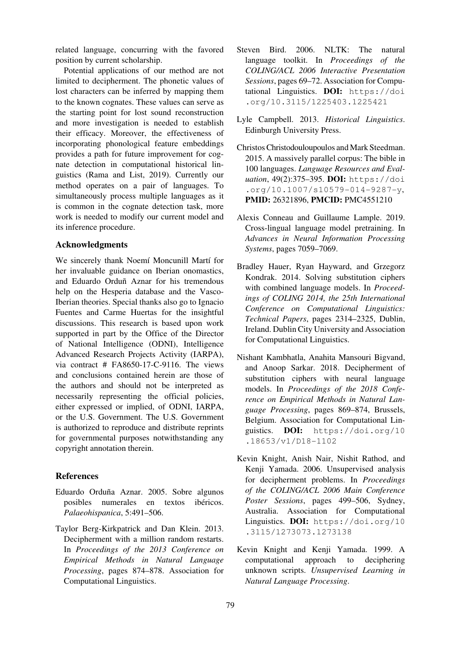related language, concurring with the favored position by current scholarship.

Potential applications of our method are not limited to decipherment. The phonetic values of lost characters can be inferred by mapping them to the known cognates. These values can serve as the starting point for lost sound reconstruction and more investigation is needed to establish their efficacy. Moreover, the effectiveness of incorporating phonological feature embeddings provides a path for future improvement for cognate detection in computational historical linguistics [\(Rama and List](#page-11-12), [2019\)](#page-11-12). Currently our method operates on a pair of languages. To simultaneously process multiple languages as it is common in the cognate detection task, more work is needed to modify our current model and its inference procedure.

### Acknowledgments

We sincerely thank Noemí Moncunill Martí for her invaluable guidance on Iberian onomastics, and Eduardo Orduñ Aznar for his tremendous help on the Hesperia database and the Vasco-Iberian theories. Special thanks also go to Ignacio Fuentes and Carme Huertas for the insightful discussions. This research is based upon work supported in part by the Office of the Director of National Intelligence (ODNI), Intelligence Advanced Research Projects Activity (IARPA), via contract # FA8650-17-C-9116. The views and conclusions contained herein are those of the authors and should not be interpreted as necessarily representing the official policies, either expressed or implied, of ODNI, IARPA, or the U.S. Government. The U.S. Government is authorized to reproduce and distribute reprints for governmental purposes notwithstanding any copyright annotation therein.

# References

- <span id="page-10-8"></span>Eduardo Orduña Aznar. 2005. Sobre algunos posibles numerales en textos ibéricos. *Palaeohispanica*, 5:491–506.
- <span id="page-10-6"></span>Taylor Berg-Kirkpatrick and Dan Klein. 2013. Decipherment with a million random restarts. In *Proceedings of the 2013 Conference on Empirical Methods in Natural Language Processing*, pages 874–878. Association for Computational Linguistics.
- <span id="page-10-9"></span>Steven Bird. 2006. NLTK: The natural language toolkit. In *Proceedings of the COLING/ACL 2006 Interactive Presentation Sessions*, pages 69–72. Association for Computational Linguistics. DOI: [https://doi](https://doi.org/10.3115/1225403.1225421) [.org/10.3115/1225403.1225421](https://doi.org/10.3115/1225403.1225421)
- <span id="page-10-7"></span>Lyle Campbell. 2013. *Historical Linguistics*. Edinburgh University Press.
- <span id="page-10-10"></span>Christos Christodouloupoulos and Mark Steedman. 2015. A massively parallel corpus: The bible in 100 languages. *Language Resources and Evaluation*, 49(2):375–395. DOI: [https://doi](https://doi.org/10.1007/s10579-014-9287-y) [.org/10.1007/s10579-014-9287-y](https://doi.org/10.1007/s10579-014-9287-y), PMID: [26321896,](https://europepmc.org/article/MED/26321896) PMCID: [PMC4551210](https://www.ncbi.nlm.nih.gov/pmc/articles/PMC4551210)
- <span id="page-10-0"></span>Alexis Conneau and Guillaume Lample. 2019. Cross-lingual language model pretraining. In *Advances in Neural Information Processing Systems*, pages 7059–7069.
- <span id="page-10-4"></span><span id="page-10-3"></span>Bradley Hauer, Ryan Hayward, and Grzegorz Kondrak. 2014. Solving substitution ciphers with combined language models. In *Proceedings of COLING 2014, the 25th International Conference on Computational Linguistics: Technical Papers*, pages 2314–2325, Dublin, Ireland. Dublin City University and Association for Computational Linguistics.
- <span id="page-10-5"></span>Nishant Kambhatla, Anahita Mansouri Bigvand, and Anoop Sarkar. 2018. Decipherment of substitution ciphers with neural language models. In *Proceedings of the 2018 Conference on Empirical Methods in Natural Language Processing*, pages 869–874, Brussels, Belgium. Association for Computational Linguistics. DOI: [https://doi.org/10](https://doi.org/10.18653/v1/D18-1102) [.18653/v1/D18-1102](https://doi.org/10.18653/v1/D18-1102)
- <span id="page-10-2"></span>Kevin Knight, Anish Nair, Nishit Rathod, and Kenji Yamada. 2006. Unsupervised analysis for decipherment problems. In *Proceedings of the COLING/ACL 2006 Main Conference Poster Sessions*, pages 499–506, Sydney, Australia. Association for Computational Linguistics. DOI: [https://doi.org/10](https://doi.org/10.3115/1273073.1273138) [.3115/1273073.1273138](https://doi.org/10.3115/1273073.1273138)
- <span id="page-10-1"></span>Kevin Knight and Kenji Yamada. 1999. A computational approach to deciphering unknown scripts. *Unsupervised Learning in Natural Language Processing*.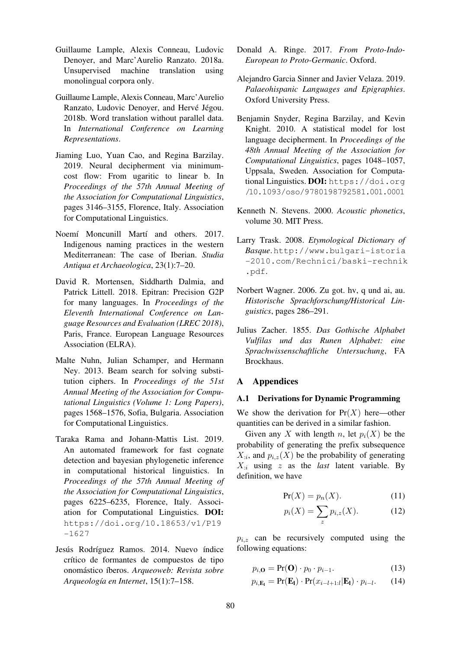- <span id="page-11-2"></span>Guillaume Lample, Alexis Conneau, Ludovic Denoyer, and Marc'Aurelio Ranzato. 2018a. Unsupervised machine translation using monolingual corpora only.
- <span id="page-11-1"></span>Guillaume Lample, Alexis Conneau, Marc'Aurelio Ranzato, Ludovic Denoyer, and Hervé Jégou. 2018b. Word translation without parallel data. In *International Conference on Learning Representations*.
- <span id="page-11-0"></span>Jiaming Luo, Yuan Cao, and Regina Barzilay. 2019. Neural decipherment via minimumcost flow: From ugaritic to linear b. In *Proceedings of the 57th Annual Meeting of the Association for Computational Linguistics*, pages 3146–3155, Florence, Italy. Association for Computational Linguistics.
- <span id="page-11-11"></span>Noemí Moncunill Martí and others. 2017. Indigenous naming practices in the western Mediterranean: The case of Iberian. *Studia Antiqua et Archaeologica*, 23(1):7–20.
- <span id="page-11-14"></span>David R. Mortensen, Siddharth Dalmia, and Patrick Littell. 2018. Epitran: Precision G2P for many languages. In *Proceedings of the Eleventh International Conference on Language Resources and Evaluation (LREC 2018)*, Paris, France. European Language Resources Association (ELRA).
- <span id="page-11-3"></span>Malte Nuhn, Julian Schamper, and Hermann Ney. 2013. Beam search for solving substitution ciphers. In *Proceedings of the 51st Annual Meeting of the Association for Computational Linguistics (Volume 1: Long Papers)*, pages 1568–1576, Sofia, Bulgaria. Association for Computational Linguistics.
- <span id="page-11-12"></span>Taraka Rama and Johann-Mattis List. 2019. An automated framework for fast cognate detection and bayesian phylogenetic inference in computational historical linguistics. In *Proceedings of the 57th Annual Meeting of the Association for Computational Linguistics*, pages 6225–6235, Florence, Italy. Association for Computational Linguistics. DOI: [https://doi.org/10.18653/v1/P19](https://doi.org/10.18653/v1/P19-1627) [-1627](https://doi.org/10.18653/v1/P19-1627)
- <span id="page-11-15"></span>Jesús Rodríguez Ramos. 2014. Nuevo índice crítico de formantes de compuestos de tipo onomástico íberos. *Arqueoweb: Revista sobre Arqueolog´ıa en Internet*, 15(1):7–158.
- <span id="page-11-13"></span>Donald A. Ringe. 2017. *From Proto-Indo-European to Proto-Germanic*. Oxford.
- <span id="page-11-10"></span>Alejandro Garcia Sinner and Javier Velaza. 2019. *Palaeohispanic Languages and Epigraphies*. Oxford University Press.
- <span id="page-11-7"></span><span id="page-11-4"></span>Benjamin Snyder, Regina Barzilay, and Kevin Knight. 2010. A statistical model for lost language decipherment. In *Proceedings of the 48th Annual Meeting of the Association for Computational Linguistics*, pages 1048–1057, Uppsala, Sweden. Association for Computational Linguistics. DOI: [https://doi.org](https://doi.org/10.1093/oso/9780198792581.001.0001) [/10.1093/oso/9780198792581.001.0001](https://doi.org/10.1093/oso/9780198792581.001.0001)
- <span id="page-11-5"></span>Kenneth N. Stevens. 2000. *Acoustic phonetics*, volume 30. MIT Press.
- <span id="page-11-16"></span>Larry Trask. 2008. *Etymological Dictionary of Basque*.[http://www.bulgari-istoria](http://www.bulgari-istoria-2010.com/Rechnici/baski-rechnik.pdf) [-2010.com/Rechnici/baski-rechnik](http://www.bulgari-istoria-2010.com/Rechnici/baski-rechnik.pdf) [.pdf](http://www.bulgari-istoria-2010.com/Rechnici/baski-rechnik.pdf).
- <span id="page-11-9"></span>Norbert Wagner. 2006. Zu got. hv, q und ai, au. *Historische Sprachforschung/Historical Linguistics*, pages 286–291.
- <span id="page-11-8"></span>Julius Zacher. 1855. *Das Gothische Alphabet Vulfilas und das Runen Alphabet: eine Sprachwissenschaftliche Untersuchung*, FA Brockhaus.

#### <span id="page-11-6"></span>A Appendices

#### A.1 Derivations for Dynamic Programming

We show the derivation for  $Pr(X)$  here—other quantities can be derived in a similar fashion.

Given any X with length n, let  $p_i(X)$  be the probability of generating the prefix subsequence  $X_{i}$ , and  $p_{i,z}(X)$  be the probability of generating  $X_{i}$  using z as the *last* latent variable. By definition, we have

$$
Pr(X) = p_n(X). \tag{11}
$$

$$
p_i(X) = \sum_z p_{i,z}(X). \tag{12}
$$

 $p_{i,z}$  can be recursively computed using the following equations:

$$
p_{i,\mathbf{O}} = \Pr(\mathbf{O}) \cdot p_0 \cdot p_{i-1}.
$$
 (13)

$$
p_{i,\mathbf{E}_l} = \Pr(\mathbf{E}_l) \cdot \Pr(x_{i-l+1:l}|\mathbf{E}_l) \cdot p_{i-l}.\tag{14}
$$